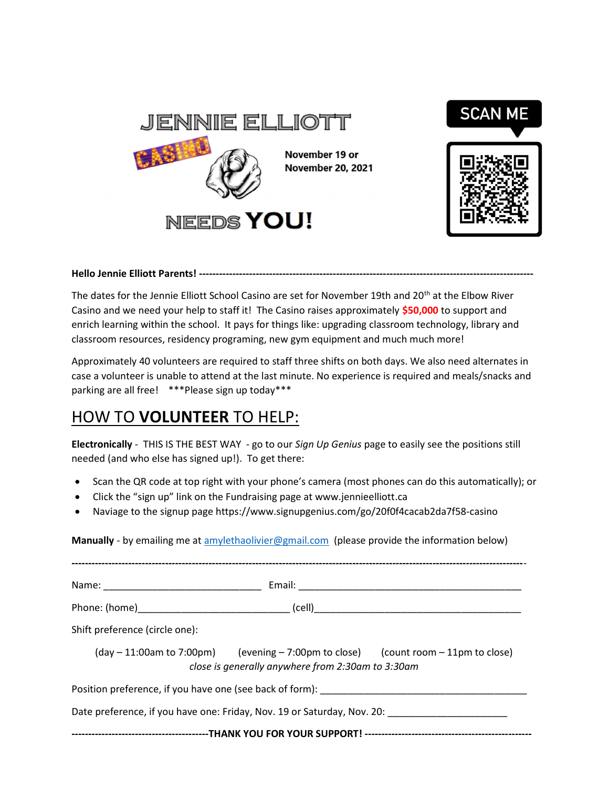

### Hello Jennie Elliott Parents! ----------------------------------------------------------------------------------------------------

The dates for the Jennie Elliott School Casino are set for November 19th and 20<sup>th</sup> at the Elbow River Casino and we need your help to staff it! The Casino raises approximately \$50,000 to support and enrich learning within the school. It pays for things like: upgrading classroom technology, library and classroom resources, residency programing, new gym equipment and much much more!

Approximately 40 volunteers are required to staff three shifts on both days. We also need alternates in case a volunteer is unable to attend at the last minute. No experience is required and meals/snacks and parking are all free! \*\*\*Please sign up today\*\*\*

# HOW TO VOLUNTEER TO HELP:

Electronically - THIS IS THE BEST WAY - go to our Sign Up Genius page to easily see the positions still needed (and who else has signed up!). To get there:

- Scan the QR code at top right with your phone's camera (most phones can do this automatically); or
- Click the "sign up" link on the Fundraising page at www.jennieelliott.ca
- Naviage to the signup page https://www.signupgenius.com/go/20f0f4cacab2da7f58-casino

Manually - by emailing me at amylethaolivier@gmail.com (please provide the information below)

| Shift preference (circle one):                                                                                                                         |
|--------------------------------------------------------------------------------------------------------------------------------------------------------|
| $(\text{day} - 11:00)$ am to 7:00pm) (evening $-7:00$ pm to close) (count room $-11$ pm to close)<br>close is generally anywhere from 2:30am to 3:30am |
|                                                                                                                                                        |
| Date preference, if you have one: Friday, Nov. 19 or Saturday, Nov. 20:                                                                                |
|                                                                                                                                                        |